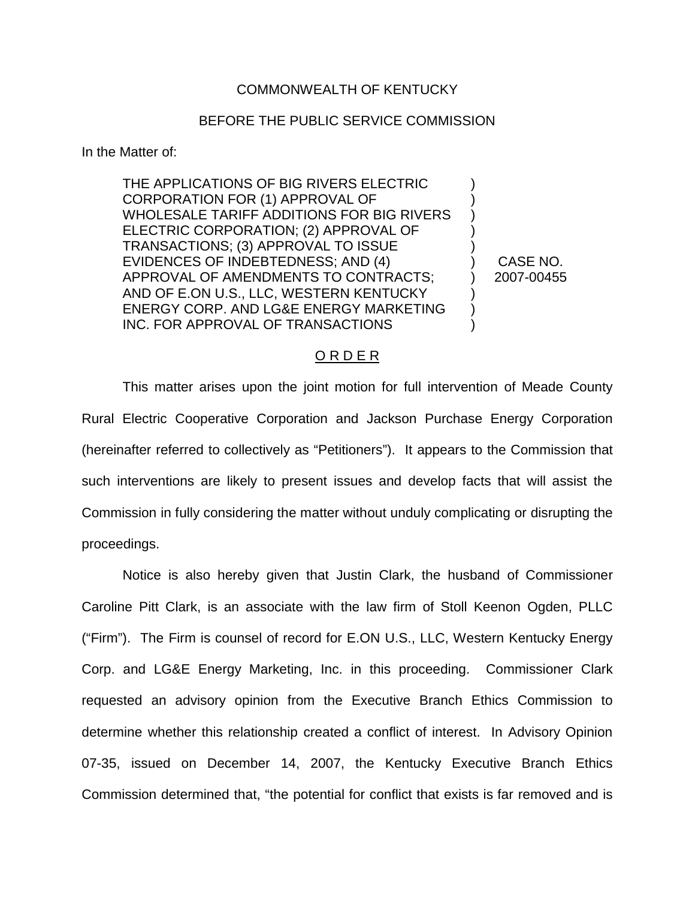## COMMONWEALTH OF KENTUCKY

## BEFORE THE PUBLIC SERVICE COMMISSION

In the Matter of:

THE APPLICATIONS OF BIG RIVERS ELECTRIC CORPORATION FOR (1) APPROVAL OF WHOLESALE TARIFF ADDITIONS FOR BIG RIVERS ELECTRIC CORPORATION; (2) APPROVAL OF TRANSACTIONS; (3) APPROVAL TO ISSUE EVIDENCES OF INDEBTEDNESS; AND (4) APPROVAL OF AMENDMENTS TO CONTRACTS; AND OF E.ON U.S., LLC, WESTERN KENTUCKY ENERGY CORP. AND LG&E ENERGY MARKETING INC. FOR APPROVAL OF TRANSACTIONS

) CASE NO. ) 2007-00455

) ) ) ) )

) ) )

## O R D E R

This matter arises upon the joint motion for full intervention of Meade County Rural Electric Cooperative Corporation and Jackson Purchase Energy Corporation (hereinafter referred to collectively as "Petitioners"). It appears to the Commission that such interventions are likely to present issues and develop facts that will assist the Commission in fully considering the matter without unduly complicating or disrupting the proceedings.

Notice is also hereby given that Justin Clark, the husband of Commissioner Caroline Pitt Clark, is an associate with the law firm of Stoll Keenon Ogden, PLLC ("Firm"). The Firm is counsel of record for E.ON U.S., LLC, Western Kentucky Energy Corp. and LG&E Energy Marketing, Inc. in this proceeding. Commissioner Clark requested an advisory opinion from the Executive Branch Ethics Commission to determine whether this relationship created a conflict of interest. In Advisory Opinion 07-35, issued on December 14, 2007, the Kentucky Executive Branch Ethics Commission determined that, "the potential for conflict that exists is far removed and is